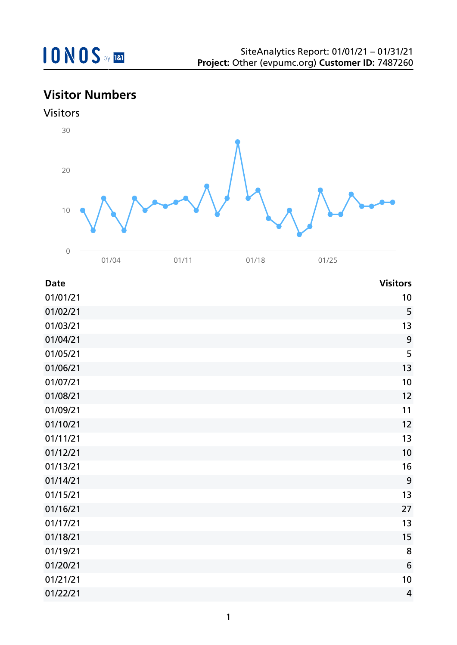# **Visitor Numbers**





| <b>Date</b> | <b>Visitors</b> |
|-------------|-----------------|
| 01/01/21    | 10              |
| 01/02/21    | 5               |
| 01/03/21    | 13              |
| 01/04/21    | 9               |
| 01/05/21    | 5               |
| 01/06/21    | 13              |
| 01/07/21    | 10              |
| 01/08/21    | 12              |
| 01/09/21    | 11              |
| 01/10/21    | 12              |
| 01/11/21    | 13              |
| 01/12/21    | 10              |
| 01/13/21    | 16              |
| 01/14/21    | 9               |
| 01/15/21    | 13              |
| 01/16/21    | 27              |
| 01/17/21    | 13              |
| 01/18/21    | 15              |
| 01/19/21    | 8               |
| 01/20/21    | 6               |
| 01/21/21    | 10              |
| 01/22/21    | $\overline{4}$  |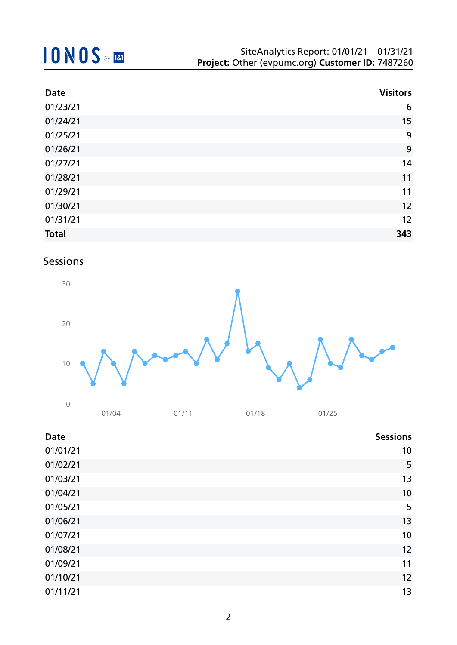| <b>Date</b>  | <b>Visitors</b> |
|--------------|-----------------|
| 01/23/21     | 6               |
| 01/24/21     | 15              |
| 01/25/21     | 9               |
| 01/26/21     | 9               |
| 01/27/21     | 14              |
| 01/28/21     | 11              |
| 01/29/21     | 11              |
| 01/30/21     | 12              |
| 01/31/21     | 12              |
| <b>Total</b> | 343             |

## Sessions



| <b>Date</b> | <b>Sessions</b> |
|-------------|-----------------|
| 01/01/21    | 10              |
| 01/02/21    | 5               |
| 01/03/21    | 13              |
| 01/04/21    | 10              |
| 01/05/21    | 5               |
| 01/06/21    | 13              |
| 01/07/21    | 10              |
| 01/08/21    | 12              |
| 01/09/21    | 11              |
| 01/10/21    | 12              |
| 01/11/21    | 13              |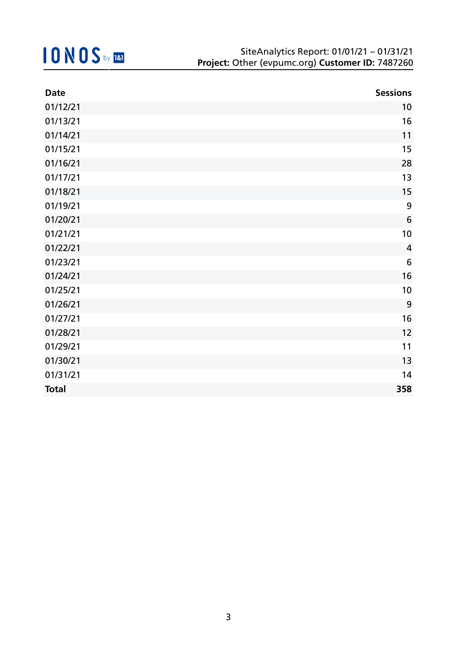| <b>Date</b>  | <b>Sessions</b> |
|--------------|-----------------|
| 01/12/21     | 10              |
| 01/13/21     | 16              |
| 01/14/21     | 11              |
| 01/15/21     | 15              |
| 01/16/21     | 28              |
| 01/17/21     | 13              |
| 01/18/21     | 15              |
| 01/19/21     | 9               |
| 01/20/21     | $\sqrt{6}$      |
| 01/21/21     | 10              |
| 01/22/21     | $\overline{4}$  |
| 01/23/21     | $6\,$           |
| 01/24/21     | 16              |
| 01/25/21     | 10              |
| 01/26/21     | 9               |
| 01/27/21     | 16              |
| 01/28/21     | 12              |
| 01/29/21     | 11              |
| 01/30/21     | 13              |
| 01/31/21     | 14              |
| <b>Total</b> | 358             |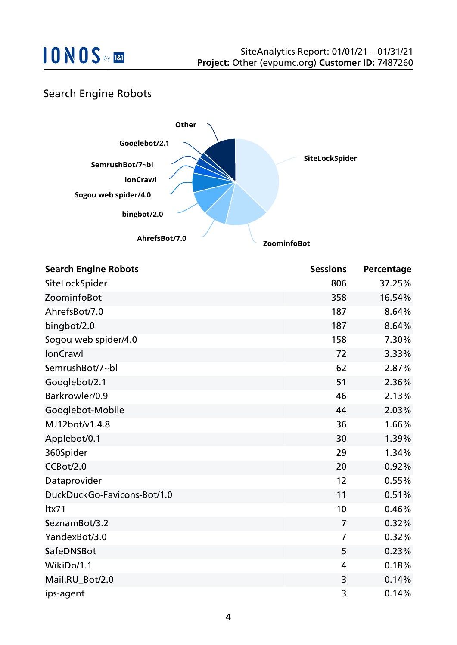

## Search Engine Robots



| <b>Search Engine Robots</b> | <b>Sessions</b> | Percentage |
|-----------------------------|-----------------|------------|
| SiteLockSpider              | 806             | 37.25%     |
| ZoominfoBot                 | 358             | 16.54%     |
| AhrefsBot/7.0               | 187             | 8.64%      |
| bingbot/2.0                 | 187             | 8.64%      |
| Sogou web spider/4.0        | 158             | 7.30%      |
| <b>IonCrawl</b>             | 72              | 3.33%      |
| SemrushBot/7~bl             | 62              | 2.87%      |
| Googlebot/2.1               | 51              | 2.36%      |
| Barkrowler/0.9              | 46              | 2.13%      |
| Googlebot-Mobile            | 44              | 2.03%      |
| MJ12bot/v1.4.8              | 36              | 1.66%      |
| Applebot/0.1                | 30              | 1.39%      |
| 360Spider                   | 29              | 1.34%      |
| CCBot/2.0                   | 20              | 0.92%      |
| Dataprovider                | 12              | 0.55%      |
| DuckDuckGo-Favicons-Bot/1.0 | 11              | 0.51%      |
| ltx71                       | 10              | 0.46%      |
| SeznamBot/3.2               | $\overline{7}$  | 0.32%      |
| YandexBot/3.0               | $\overline{7}$  | 0.32%      |
| SafeDNSBot                  | 5               | 0.23%      |
| WikiDo/1.1                  | 4               | 0.18%      |
| Mail.RU_Bot/2.0             | 3               | 0.14%      |
| ips-agent                   | 3               | 0.14%      |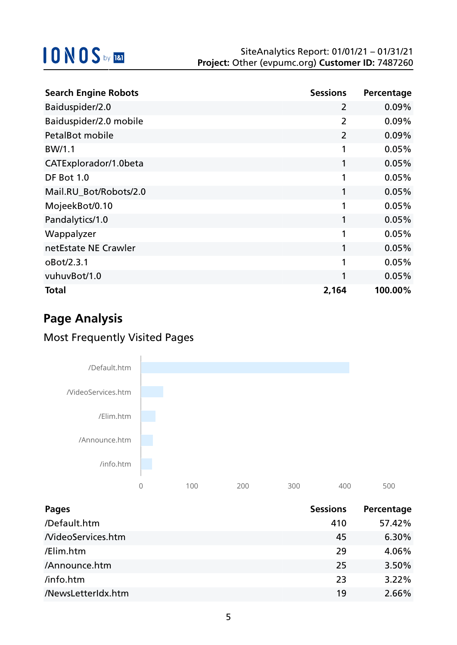| <b>Search Engine Robots</b> | <b>Sessions</b> | Percentage |
|-----------------------------|-----------------|------------|
| Baiduspider/2.0             | 2               | 0.09%      |
| Baiduspider/2.0 mobile      | $\overline{2}$  | 0.09%      |
| <b>PetalBot mobile</b>      | $\overline{2}$  | 0.09%      |
| BW/1.1                      | 1               | 0.05%      |
| CATExplorador/1.0beta       | 1               | 0.05%      |
| <b>DF Bot 1.0</b>           | 1               | 0.05%      |
| Mail.RU_Bot/Robots/2.0      | 1               | 0.05%      |
| MojeekBot/0.10              | 1               | 0.05%      |
| Pandalytics/1.0             | 1               | 0.05%      |
| Wappalyzer                  | 1               | 0.05%      |
| netEstate NE Crawler        | 1               | 0.05%      |
| oBot/2.3.1                  | 1               | 0.05%      |
| vuhuvBot/1.0                | 1               | 0.05%      |
| Total                       | 2,164           | 100.00%    |

# **Page Analysis**

## Most Frequently Visited Pages



| <b>Pages</b>             | <b>Sessions</b> | Percentage |
|--------------------------|-----------------|------------|
| /Default.htm             | 410             | 57.42%     |
| <b>NideoServices.htm</b> | 45              | 6.30%      |
| /Elim.htm                | 29              | 4.06%      |
| /Announce.htm            | 25              | 3.50%      |
| /info.htm                | 23              | 3.22%      |
| /NewsLetterIdx.htm       | 19              | 2.66%      |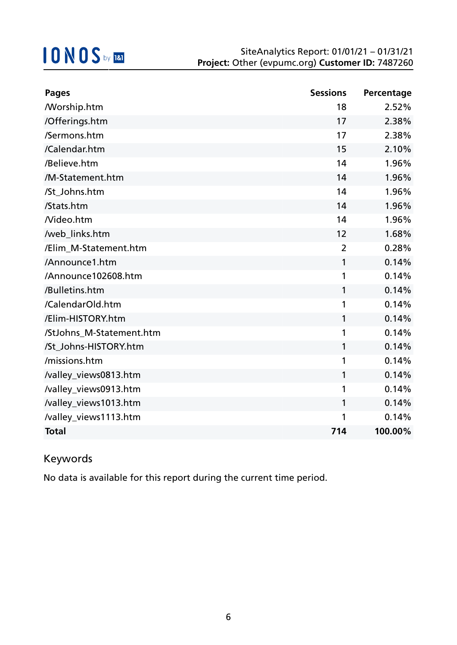| <b>Pages</b>             | <b>Sessions</b> | Percentage |
|--------------------------|-----------------|------------|
| <b>Morship.htm</b>       | 18              | 2.52%      |
| /Offerings.htm           | 17              | 2.38%      |
| /Sermons.htm             | 17              | 2.38%      |
| /Calendar.htm            | 15              | 2.10%      |
| /Believe.htm             | 14              | 1.96%      |
| /M-Statement.htm         | 14              | 1.96%      |
| /St_Johns.htm            | 14              | 1.96%      |
| /Stats.htm               | 14              | 1.96%      |
| Nideo.htm                | 14              | 1.96%      |
| /web_links.htm           | 12              | 1.68%      |
| /Elim_M-Statement.htm    | $\overline{2}$  | 0.28%      |
| /Announce1.htm           | $\mathbf{1}$    | 0.14%      |
| /Announce102608.htm      | 1               | 0.14%      |
| /Bulletins.htm           | 1               | 0.14%      |
| /CalendarOld.htm         | 1               | 0.14%      |
| /Elim-HISTORY.htm        | 1               | 0.14%      |
| /StJohns_M-Statement.htm | 1               | 0.14%      |
| /St_Johns-HISTORY.htm    | $\mathbf{1}$    | 0.14%      |
| /missions.htm            | 1               | 0.14%      |
| /valley_views0813.htm    | 1               | 0.14%      |
| /valley_views0913.htm    | 1               | 0.14%      |
| /valley_views1013.htm    | $\mathbf{1}$    | 0.14%      |
| /valley_views1113.htm    | 1               | 0.14%      |
| <b>Total</b>             | 714             | 100.00%    |

## Keywords

No data is available for this report during the current time period.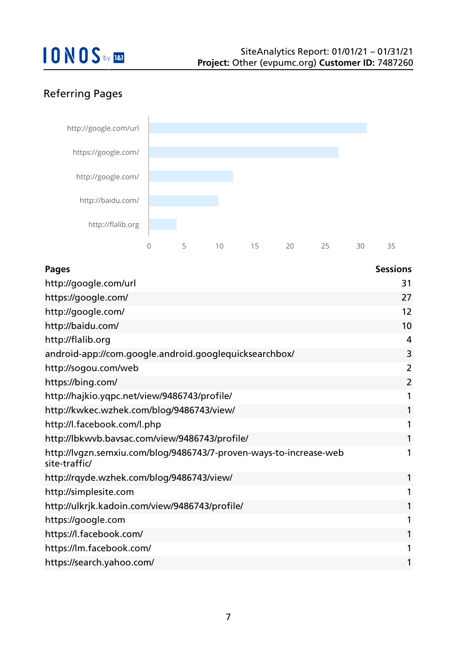## Referring Pages



| <b>Pages</b>                                                                        | <b>Sessions</b> |
|-------------------------------------------------------------------------------------|-----------------|
| http://google.com/url                                                               | 31              |
| https://google.com/                                                                 | 27              |
| http://google.com/                                                                  | 12              |
| http://baidu.com/                                                                   | 10              |
| http://flalib.org                                                                   | 4               |
| android-app://com.google.android.googlequicksearchbox/                              | 3               |
| http://sogou.com/web                                                                | 2               |
| https://bing.com/                                                                   | $\overline{2}$  |
| http://hajkio.yqpc.net/view/9486743/profile/                                        | 1               |
| http://kwkec.wzhek.com/blog/9486743/view/                                           | 1               |
| http://l.facebook.com/l.php                                                         | 1               |
| http://lbkwvb.bavsac.com/view/9486743/profile/                                      | 1               |
| http://lvgzn.semxiu.com/blog/9486743/7-proven-ways-to-increase-web<br>site-traffic/ | 1               |
| http://rqyde.wzhek.com/blog/9486743/view/                                           | 1               |
| http://simplesite.com                                                               | 1               |
| http://ulkrjk.kadoin.com/view/9486743/profile/                                      | 1               |
| https://google.com                                                                  | 1               |
| https://l.facebook.com/                                                             | 1               |
| https://lm.facebook.com/                                                            | 1               |
| https://search.yahoo.com/                                                           | 1               |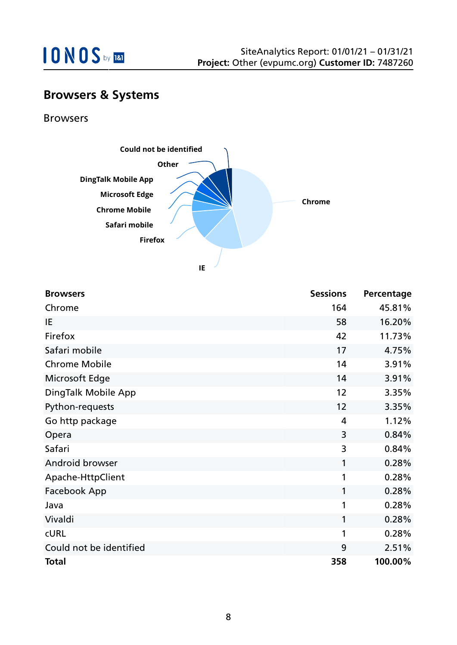

## **Browsers & Systems**

Browsers



**IE**

| <b>Browsers</b>         | <b>Sessions</b> | Percentage |
|-------------------------|-----------------|------------|
| Chrome                  | 164             | 45.81%     |
| IE                      | 58              | 16.20%     |
| Firefox                 | 42              | 11.73%     |
| Safari mobile           | 17              | 4.75%      |
| <b>Chrome Mobile</b>    | 14              | 3.91%      |
| Microsoft Edge          | 14              | 3.91%      |
| DingTalk Mobile App     | 12              | 3.35%      |
| Python-requests         | 12              | 3.35%      |
| Go http package         | 4               | 1.12%      |
| Opera                   | 3               | 0.84%      |
| Safari                  | 3               | 0.84%      |
| Android browser         | 1               | 0.28%      |
| Apache-HttpClient       | 1               | 0.28%      |
| Facebook App            | 1               | 0.28%      |
| Java                    | 1               | 0.28%      |
| Vivaldi                 | 1               | 0.28%      |
| <b>CURL</b>             | 1               | 0.28%      |
| Could not be identified | 9               | 2.51%      |
| <b>Total</b>            | 358             | 100.00%    |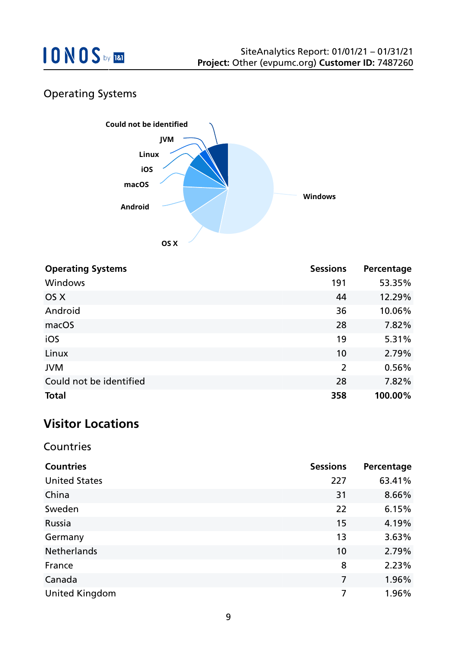

## Operating Systems



| <b>Operating Systems</b> | <b>Sessions</b> | Percentage |
|--------------------------|-----------------|------------|
| Windows                  | 191             | 53.35%     |
| OS X                     | 44              | 12.29%     |
| Android                  | 36              | 10.06%     |
| macOS                    | 28              | 7.82%      |
| iOS                      | 19              | 5.31%      |
| Linux                    | 10              | 2.79%      |
| <b>JVM</b>               | $\overline{2}$  | 0.56%      |
| Could not be identified  | 28              | 7.82%      |
| <b>Total</b>             | 358             | 100.00%    |

## **Visitor Locations**

#### Countries

| <b>Countries</b>      | <b>Sessions</b> | Percentage |
|-----------------------|-----------------|------------|
| <b>United States</b>  | 227             | 63.41%     |
| China                 | 31              | 8.66%      |
| Sweden                | 22              | 6.15%      |
| Russia                | 15              | 4.19%      |
| Germany               | 13              | 3.63%      |
| <b>Netherlands</b>    | 10              | 2.79%      |
| France                | 8               | 2.23%      |
| Canada                | $\overline{7}$  | 1.96%      |
| <b>United Kingdom</b> | 7               | 1.96%      |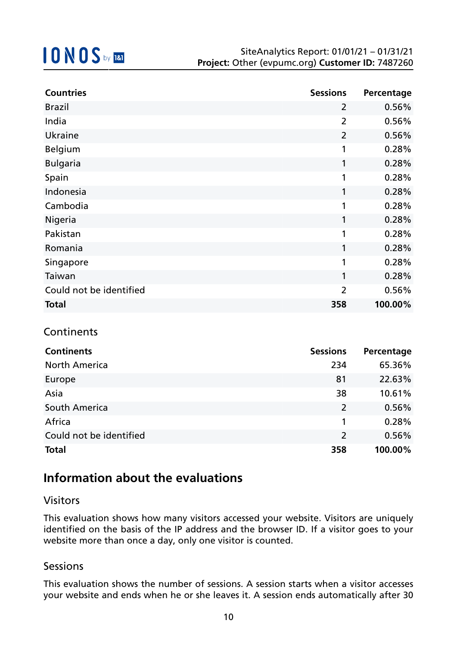| <b>Countries</b>        | <b>Sessions</b> | Percentage |
|-------------------------|-----------------|------------|
| <b>Brazil</b>           | $\overline{2}$  | 0.56%      |
| India                   | $\overline{2}$  | 0.56%      |
| Ukraine                 | $\overline{2}$  | 0.56%      |
| Belgium                 | $\mathbf{1}$    | 0.28%      |
| <b>Bulgaria</b>         | $\mathbf{1}$    | 0.28%      |
| Spain                   | 1               | 0.28%      |
| Indonesia               | 1               | 0.28%      |
| Cambodia                | 1               | 0.28%      |
| Nigeria                 | 1               | 0.28%      |
| Pakistan                | 1               | 0.28%      |
| Romania                 | $\mathbf{1}$    | 0.28%      |
| Singapore               | 1               | 0.28%      |
| Taiwan                  | 1               | 0.28%      |
| Could not be identified | $\overline{2}$  | 0.56%      |
| <b>Total</b>            | 358             | 100.00%    |

### **Continents**

| <b>Continents</b>       | <b>Sessions</b> | Percentage |
|-------------------------|-----------------|------------|
| <b>North America</b>    | 234             | 65.36%     |
| Europe                  | 81              | 22.63%     |
| Asia                    | 38              | 10.61%     |
| South America           | 2               | 0.56%      |
| Africa                  | 1               | 0.28%      |
| Could not be identified | $\overline{2}$  | 0.56%      |
| <b>Total</b>            | 358             | 100.00%    |

## **Information about the evaluations**

#### Visitors

This evaluation shows how many visitors accessed your website. Visitors are uniquely identified on the basis of the IP address and the browser ID. If a visitor goes to your website more than once a day, only one visitor is counted.

#### Sessions

This evaluation shows the number of sessions. A session starts when a visitor accesses your website and ends when he or she leaves it. A session ends automatically after 30